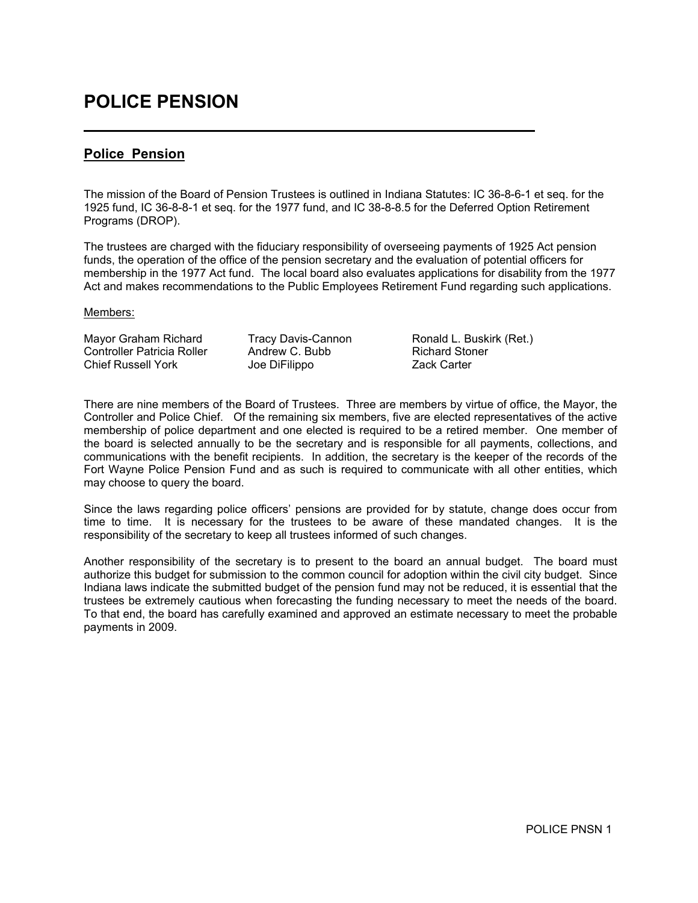## POLICE PENSION

## Police Pension

The mission of the Board of Pension Trustees is outlined in Indiana Statutes: IC 36-8-6-1 et seq. for the 1925 fund, IC 36-8-8-1 et seq. for the 1977 fund, and IC 38-8-8.5 for the Deferred Option Retirement Programs (DROP).

The trustees are charged with the fiduciary responsibility of overseeing payments of 1925 Act pension funds, the operation of the office of the pension secretary and the evaluation of potential officers for membership in the 1977 Act fund. The local board also evaluates applications for disability from the 1977 Act and makes recommendations to the Public Employees Retirement Fund regarding such applications.

## Members:

Mayor Graham Richard Tracy Davis-Cannon Ronald L. Buskirk (Ret.) Controller Patricia Roller Andrew C. Bubb Richard Stoner Chief Russell York Joe DiFilippo Zack Carter

There are nine members of the Board of Trustees. Three are members by virtue of office, the Mayor, the Controller and Police Chief. Of the remaining six members, five are elected representatives of the active membership of police department and one elected is required to be a retired member. One member of the board is selected annually to be the secretary and is responsible for all payments, collections, and communications with the benefit recipients. In addition, the secretary is the keeper of the records of the Fort Wayne Police Pension Fund and as such is required to communicate with all other entities, which may choose to query the board.

Since the laws regarding police officers' pensions are provided for by statute, change does occur from time to time. It is necessary for the trustees to be aware of these mandated changes. It is the responsibility of the secretary to keep all trustees informed of such changes.

Another responsibility of the secretary is to present to the board an annual budget. The board must authorize this budget for submission to the common council for adoption within the civil city budget. Since Indiana laws indicate the submitted budget of the pension fund may not be reduced, it is essential that the trustees be extremely cautious when forecasting the funding necessary to meet the needs of the board. To that end, the board has carefully examined and approved an estimate necessary to meet the probable payments in 2009.